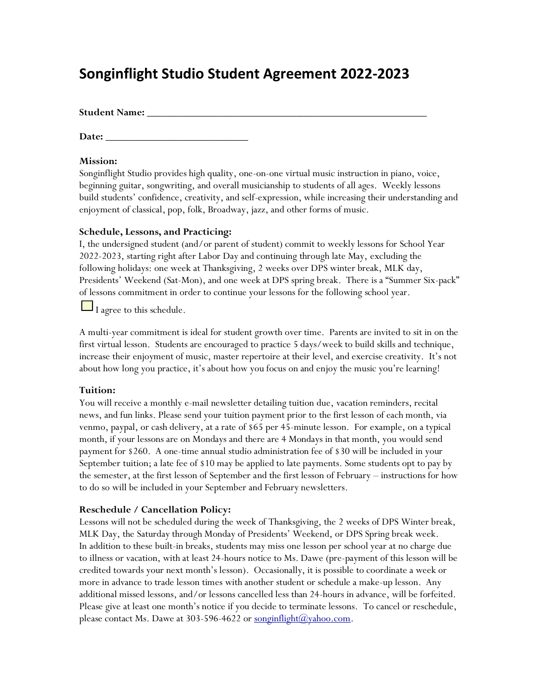# **Songinflight Studio Student Agreement 2022-2023**

**Student Name: \_\_\_\_\_\_\_\_\_\_\_\_\_\_\_\_\_\_\_\_\_\_\_\_\_\_\_\_\_\_\_\_\_\_\_\_\_\_\_\_\_\_\_\_\_\_\_\_\_\_\_\_\_**

**Date: \_\_\_\_\_\_\_\_\_\_\_\_\_\_\_\_\_\_\_\_\_\_\_\_\_\_\_**

#### **Mission:**

Songinflight Studio provides high quality, one-on-one virtual music instruction in piano, voice, beginning guitar, songwriting, and overall musicianship to students of all ages. Weekly lessons build students' confidence, creativity, and self-expression, while increasing their understanding and enjoyment of classical, pop, folk, Broadway, jazz, and other forms of music.

#### **Schedule, Lessons, and Practicing:**

I, the undersigned student (and/or parent of student) commit to weekly lessons for School Year 2022-2023, starting right after Labor Day and continuing through late May, excluding the following holidays: one week at Thanksgiving, 2 weeks over DPS winter break, MLK day, Presidents' Weekend (Sat-Mon), and one week at DPS spring break. There is a "Summer Six-pack" of lessons commitment in order to continue your lessons for the following school year.

 $\Box$  I agree to this schedule.

A multi-year commitment is ideal for student growth over time. Parents are invited to sit in on the first virtual lesson. Students are encouraged to practice 5 days/week to build skills and technique, increase their enjoyment of music, master repertoire at their level, and exercise creativity. It's not about how long you practice, it's about how you focus on and enjoy the music you're learning!

## **Tuition:**

You will receive a monthly e-mail newsletter detailing tuition due, vacation reminders, recital news, and fun links. Please send your tuition payment prior to the first lesson of each month, via venmo, paypal, or cash delivery, at a rate of \$65 per 45-minute lesson. For example, on a typical month, if your lessons are on Mondays and there are 4 Mondays in that month, you would send payment for \$260. A one-time annual studio administration fee of \$30 will be included in your September tuition; a late fee of \$10 may be applied to late payments. Some students opt to pay by the semester, at the first lesson of September and the first lesson of February – instructions for how to do so will be included in your September and February newsletters.

#### **Reschedule / Cancellation Policy:**

Lessons will not be scheduled during the week of Thanksgiving, the 2 weeks of DPS Winter break, MLK Day, the Saturday through Monday of Presidents' Weekend, or DPS Spring break week. In addition to these built-in breaks, students may miss one lesson per school year at no charge due to illness or vacation, with at least 24-hours notice to Ms. Dawe (pre-payment of this lesson will be credited towards your next month's lesson). Occasionally, it is possible to coordinate a week or more in advance to trade lesson times with another student or schedule a make-up lesson. Any additional missed lessons, and/or lessons cancelled less than 24-hours in advance, will be forfeited. Please give at least one month's notice if you decide to terminate lessons. To cancel or reschedule, please contact Ms. Dawe at 303-596-4622 or [songinflight@yahoo.com.](mailto:songinflight@yahoo.com)